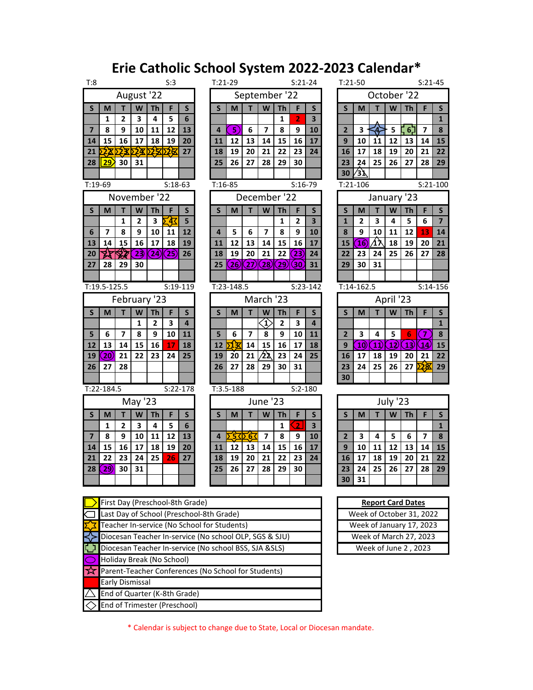## **Erie Catholic School System 2022-2023 Calendar\***

| S:3<br>T:8 |                                |                         |                |                         |                | $T:21-29$<br>$S:21-24$ |                |                          |                         |                    |                         |                    | $T:21-50$<br>$S:21-45$ |                         |                          |                         |                     |              |              |                         |                |
|------------|--------------------------------|-------------------------|----------------|-------------------------|----------------|------------------------|----------------|--------------------------|-------------------------|--------------------|-------------------------|--------------------|------------------------|-------------------------|--------------------------|-------------------------|---------------------|--------------|--------------|-------------------------|----------------|
| August '22 |                                |                         |                |                         |                | September '22          |                |                          |                         |                    |                         |                    | October '22            |                         |                          |                         |                     |              |              |                         |                |
|            | $\mathsf{S}$                   | M                       | T              | W                       | <b>Th</b>      | F                      | $\mathsf{S}$   | S                        | M                       | T                  | W                       | <b>Th</b>          | F                      | S                       | $\mathsf{s}$             | M                       | T                   | W            | <b>Th</b>    | F                       | S              |
|            |                                | $\mathbf{1}$            | $\overline{2}$ | $\overline{\mathbf{3}}$ | 4              | 5                      | 6              |                          |                         |                    |                         | $\mathbf{1}$       | $\overline{2}$         | 3                       |                          |                         |                     |              |              |                         | $\mathbf{1}$   |
|            | $\overline{7}$                 | 8                       | 9              | 10                      | 11             | 12                     | 13             | $\overline{a}$           | 5)                      | 6                  | $\overline{ }$          | 8                  | 9                      | 10                      | $\overline{2}$           | $\overline{\mathbf{3}}$ | ∜                   | 5            | ∃6           | $\overline{7}$          | 8              |
|            | 14                             | 15                      | 16             | 17                      | 18             | 19                     | 20             | 11                       | 12                      | 13                 | 14                      | 15                 | 16                     | 17                      | 9                        | 10                      | 11                  | 12           | 13           | 14                      | 15             |
|            | 21                             | 28                      | ∑23∑           | ∑2)⊈                    | ΣΣ             | ∑⊠                     | 27             | 18                       | 19                      | 20                 | 21                      | 22                 | 23                     | 24                      | 16                       | 17                      | 18                  | 19           | 20           | 21                      | 22             |
|            | 28                             | 29                      | 30             | 31                      |                |                        |                | 25                       | 26                      | 27                 | 28                      | 29                 | 30                     |                         | 23                       | 24                      | 25                  | 26           | 27           | 28                      | 29             |
|            |                                |                         |                |                         |                |                        |                |                          |                         |                    |                         |                    |                        |                         | 30                       | ∕з`⊾                    |                     |              |              |                         |                |
|            | $T:19-69$                      |                         |                |                         |                | $S:18-63$              |                | $T:16-85$                |                         |                    |                         |                    | $S:16-79$              |                         | $S:21-100$<br>$T:21-106$ |                         |                     |              |              |                         |                |
|            |                                |                         |                |                         | November '22   |                        |                |                          |                         |                    | December '22            |                    |                        |                         | January '23              |                         |                     |              |              |                         |                |
|            | S                              | M                       | T              | W                       | <b>Th</b>      | F                      | $\mathsf{S}$   | S                        | M                       | T                  | W                       | <b>Th</b>          | F                      | S                       | $\mathsf{s}$             | M                       | T                   | W            | <b>Th</b>    | F                       | S              |
|            |                                |                         | $\mathbf{1}$   | 2                       | 3              | 43                     | 5              |                          |                         |                    |                         | 1                  | $\overline{2}$         | $\overline{\mathbf{3}}$ | $\mathbf{1}$             | $\overline{2}$          | 3                   | 4            | 5            | 6                       | $\overline{7}$ |
|            | 6                              | $\overline{\mathbf{z}}$ | 8              | 9                       | 10             | 11                     | 12             | $\overline{a}$           | 5                       | 6                  | $\overline{\mathbf{z}}$ | 8                  | 9                      | 10                      | 8                        | 9                       | 10                  | 11           | 12           | 13                      | 14             |
|            | 13                             | 14                      | 15             | 16                      | 17             | 18                     | 19             | 11                       | 12                      | 13                 | 14                      | 15                 | 16                     | 17                      | 15                       | $\overline{16}$         | ∕1እ                 | 18           | 19           | 20                      | 21             |
|            | 20                             | 延                       | 铎              | 23                      | $\mathbf{24}$  | $\mathbf{25}$          | 26             | 18                       | 19                      | 20                 | 21                      | 22                 | $\mathbf{23}$          | 24                      | 22                       | 23                      | 24                  | 25           | 26           | 27                      | 28             |
|            | 27                             | 28                      | 29             | 30                      |                |                        |                | 25                       | $\left( 26\right)$      | $\left( 27\right)$ | $\left( 28\right)$      | $\left( 29\right)$ | 30                     | 31                      | 29                       | 30                      | 31                  |              |              |                         |                |
|            |                                |                         |                |                         |                |                        |                |                          |                         |                    |                         |                    |                        |                         |                          |                         |                     |              |              |                         |                |
|            |                                | $T:19.5 - 125.5$        |                |                         |                |                        | $S:19-119$     |                          | $T:23-148.5$            |                    |                         |                    |                        | $S:23-142$              |                          | $T:14-162.5$            |                     |              |              | $S:14-156$              |                |
|            |                                |                         |                |                         | February '23   |                        |                | March '23                |                         |                    |                         |                    |                        |                         | April '23                |                         |                     |              |              |                         |                |
|            | S                              | M                       | т              | W                       | <b>Th</b>      | F                      | S              | S                        | M                       | т                  | W                       | <b>Th</b>          | F                      | S                       | $\overline{\mathsf{s}}$  | M                       | т                   | W            | <b>Th</b>    | F                       | $\mathsf{S}$   |
|            |                                |                         |                | 1                       | $\overline{2}$ | 3                      | $\overline{a}$ |                          |                         |                    | $\langle 1 \rangle$     | $\overline{2}$     | 3                      | 4                       |                          |                         |                     |              |              |                         | $\mathbf{1}$   |
|            | 5                              | 6                       | $\overline{7}$ | 8                       | 9              | 10                     | 11             | 5                        | 6                       | $\overline{7}$     | 8                       | 9                  | 10                     | 11                      | $\overline{2}$           | $\overline{\mathbf{3}}$ | 4                   | 5            | 6            | 7                       | 8              |
|            | 12                             | 13                      | 14             | 15                      | 16             | 17                     | 18             | 12                       | 13                      | 14                 | 15                      | 16                 | 17                     | 18                      | 9                        | 10)                     | $\overline{11}$     | $\ket{12}$   | 13)          | $\overline{14}$         | 15             |
|            | 19                             | $\left( 20 \right)$     | 21             | 22                      | 23             | 24                     | 25             | 19                       | $\overline{20}$         | 21                 | 22                      | 23                 | 24                     | 25                      | 16                       | 17                      | 18                  | 19           | 20           | 21                      | 22             |
|            | 26                             | 27                      | 28             |                         |                |                        |                | 26                       | 27                      | 28                 | 29                      | 30                 | 31                     |                         | 23                       | 24                      | 25                  | 26           | 27           | 反図                      | 29             |
|            |                                |                         |                |                         |                |                        |                |                          |                         |                    |                         |                    |                        |                         | 30                       |                         |                     |              |              |                         |                |
|            | $T:22-184.5$<br>$S:22-178$     |                         |                |                         |                |                        |                | $T:3.5-188$<br>$S:2-180$ |                         |                    |                         |                    |                        |                         |                          |                         |                     |              |              |                         |                |
| May '23    |                                |                         |                |                         |                | June '23               |                |                          |                         |                    |                         |                    |                        |                         |                          | July '23                |                     |              |              |                         |                |
|            | S                              | M                       | T              | W                       | <b>Th</b>      | F                      | $\mathsf{S}$   | $\overline{\mathsf{S}}$  | M                       | т                  | W                       | <b>Th</b>          | F                      | $\mathsf{S}$            | $\overline{\mathsf{S}}$  | M                       | т                   | W            | <b>Th</b>    | F                       | $\mathsf{s}$   |
|            |                                | $\mathbf{1}$            | $\overline{2}$ | $\mathbf{3}$            | 4              | 5                      | 6              |                          |                         |                    |                         | $\mathbf{1}$       | $\overline{2}$         | 3                       |                          |                         |                     |              |              |                         | $\mathbf{1}$   |
|            | $\overline{\mathbf{z}}$        | 8                       | 9              | 10                      | 11             | 12                     | 13             | $\overline{\mathbf{4}}$  | $\overline{\mathbf{5}}$ | $\frac{1}{6}$      | $\overline{\mathbf{z}}$ | 8                  | 9                      | 10                      | $\overline{2}$           | $\overline{\mathbf{3}}$ | 4                   | 5            | 6            | $\overline{\mathbf{z}}$ | 8              |
|            | 14                             | 15                      | 16             | 17                      | 18             | 19                     | 20             | 11                       | 12                      | 13                 | 14                      | 15                 | 16                     | 17                      | 9                        | 10                      | 11                  | 12           | 13           | 14                      | 15             |
|            | 21<br>$\overline{\phantom{a}}$ | 22<br>$\sim$            | 23<br>$\sim$   | 24<br>$\sim$            | 25             | 26                     | 27             | 18                       | 19<br>$\sim$            | 20<br>$\sim$       | 21<br>$\sim$            | 22<br>$\sim$       | 23<br>$\sim$           | 24                      | 16                       | 17<br>$\sim$ $\sim$     | 18<br>$\sim$ $\sim$ | 19<br>$\sim$ | 20<br>$\sim$ | 21<br>$\sim$            | 22<br>$\sim$   |
|            |                                |                         |                |                         |                |                        |                |                          |                         |                    |                         |                    |                        |                         |                          |                         |                     |              |              |                         |                |

| $\overline{1:8}$<br>S:3 |                                 |                         |                         |                |               |                | $T:21-29$<br>$S:21-24$ |                          |                 |                         |                         |                          |                    | $S:21-45$<br>$T:21-50$  |                         |                 |           |                 |           |                         |                  |
|-------------------------|---------------------------------|-------------------------|-------------------------|----------------|---------------|----------------|------------------------|--------------------------|-----------------|-------------------------|-------------------------|--------------------------|--------------------|-------------------------|-------------------------|-----------------|-----------|-----------------|-----------|-------------------------|------------------|
|                         | August '22                      |                         |                         |                |               |                |                        | September '22            |                 |                         |                         |                          |                    |                         | October '22             |                 |           |                 |           |                         |                  |
| $\mathsf{S}$            | M                               | т                       | W                       | <b>Th</b>      | F             | $\mathsf{S}$   |                        | S                        | M               | т                       | W                       | <b>Th</b>                | F                  | S                       | $\mathsf{s}$            | M               | т         | W               | <b>Th</b> | F                       | $\mathsf{S}$     |
|                         | $\mathbf{1}$                    | $\overline{2}$          | $\overline{\mathbf{3}}$ | 4              | 5             | 6              |                        |                          |                 |                         |                         | $\mathbf{1}$             | 2                  | $\overline{\mathbf{3}}$ |                         |                 |           |                 |           |                         | $\mathbf{1}$     |
| $\overline{\mathbf{z}}$ | 8                               | 9                       | 10                      | 11             | 12            | 13             |                        | 4                        | 5)              | 6                       | $\overline{7}$          | 8                        | 9                  | 10                      | $\overline{2}$          | 3               |           | 5               | $6$ ر     | $\overline{7}$          | $\boldsymbol{8}$ |
| 14                      | 15                              | 16                      | 17                      | 18             | 19            | 20             |                        | 11                       | 12              | 13                      | 14                      | 15                       | 16                 | 17                      | 9                       | 10              | 11        | 12              | 13        | 14                      | 15               |
| 21                      | 2X                              |                         | $\frac{1}{2}$           | 攻              | 区区            | 27             |                        | 18                       | 19              | 20                      | 21                      | 22                       | 23                 | 24                      | 16                      | 17              | 18        | 19              | 20        | 21                      | 22               |
| 28                      | 29)                             | 30                      | 31                      |                |               |                |                        | 25                       | 26              | 27                      | 28                      | 29                       | 30                 |                         | 23                      | 24              | 25        | 26              | 27        | 28                      | 29               |
|                         |                                 |                         |                         |                |               |                |                        |                          |                 |                         |                         |                          |                    |                         | 30                      | $\sqrt{3y}$     |           |                 |           |                         |                  |
|                         | $\overline{.19}$ -69            |                         |                         |                | $S:18-63$     |                |                        | $T:16-85$                |                 |                         |                         |                          | $S:16-79$          |                         | $S:21-10$<br>$T:21-106$ |                 |           |                 |           |                         |                  |
|                         |                                 | November '22            |                         |                |               |                |                        |                          |                 |                         | December '22            |                          |                    |                         | January '23             |                 |           |                 |           |                         |                  |
| $\mathsf{S}$            | M                               | т                       | W                       | <b>Th</b>      | F             | $\mathsf{S}$   |                        | S                        | M               | т                       | W                       | <b>Th</b>                | F                  | S                       | $\mathsf{S}$            | M               | T         | W               | <b>Th</b> | F                       | $\mathsf{S}$     |
|                         |                                 | 1                       | $\overline{2}$          | 3              | À             | 5              |                        |                          |                 |                         |                         | 1                        | $\mathbf{2}$       | 3                       | $\mathbf{1}$            | $\overline{2}$  | 3         | 4               | 5         | 6                       | $\overline{7}$   |
| $6\phantom{1}6$         | $\overline{\mathbf{z}}$         | 8                       | 9                       | 10             | 11            | 12             |                        | 4                        | 5               | 6                       | $\overline{\mathbf{z}}$ | 8                        | 9                  | 10                      | 8                       | 9               | 10        | 11              | 12        | 13                      | 14               |
| 13                      | 14                              | 15                      | 16                      | 17             | 18            | 19             |                        | 11                       | 12              | 13                      | 14                      | 15                       | 16                 | 17                      | 15                      | $\overline{16}$ | ∕1ኦ       | 18              | 19        | 20                      | 21               |
| 20                      | X                               |                         | 23)                     | $\mathbf{24}$  | $\mathbf{25}$ | 26             |                        | 18                       | 19              | 20                      | 21                      | 22                       | $\left( 23\right)$ | 24                      | 22                      | 23              | 24        | 25              | 26        | 27                      | 28               |
| 27                      | 28                              | 29                      | 30                      |                |               |                |                        | 25                       | $\overline{26}$ | $\overline{27}$         | $\mathbf{28}$           | 29)                      | $\mathbf{30}$      | 31                      | 29                      | 30              | 31        |                 |           |                         |                  |
|                         |                                 |                         |                         |                |               |                |                        |                          |                 |                         |                         |                          |                    |                         |                         |                 |           |                 |           |                         |                  |
|                         | $\frac{1}{1}$ :19.5-125.5       |                         |                         |                |               | $S:19-119$     |                        |                          | $T:23-148.5$    |                         |                         |                          | $S:23-142$         |                         |                         | $T:14 - 162.5$  |           |                 |           | $S:14-15$               |                  |
|                         |                                 | February '23            |                         |                |               |                |                        | March '23                |                 |                         |                         |                          |                    |                         |                         |                 | April '23 |                 |           |                         |                  |
| $\mathsf{S}$            | M                               | т                       | W                       | <b>Th</b>      | F             | $\mathsf{S}$   |                        | S                        | M               | т                       | W                       | <b>Th</b>                | F                  | $\mathsf{S}$            | $\mathsf{s}$            | M               | т         | W               | <b>Th</b> | F                       | $\mathsf{S}$     |
|                         |                                 |                         | $\mathbf{1}$            | $\overline{2}$ | 3             | $\overline{a}$ |                        |                          |                 |                         | $\bf \hat{1}$           | $\overline{\mathbf{2}}$  | 3                  | $\overline{4}$          |                         |                 |           |                 |           |                         | $\mathbf{1}$     |
| $\overline{\mathbf{5}}$ | 6                               | $\overline{\mathbf{z}}$ | 8                       | 9              | 10            | 11             |                        | 5                        | 6               | $\overline{\mathbf{z}}$ | 8                       | 9                        | 10                 | 11                      | $\overline{2}$          | 3               | 4         | 5               | 6         | 7                       | 8                |
| 12                      | 13                              | 14                      | 15                      | 16             | 17            | 18             |                        | 12                       | १३              | 14                      | 15                      | 16                       | 17                 | 18                      | 9                       | 10)             | $\bf{11}$ | $12\,$          | 13)       | $\overline{14}$         | 15               |
| 19                      | $\mathbf{20}$                   | 21                      | 22                      | 23             | 24            | 25             |                        | 19                       | 20              | 21                      | $\overline{\lambda}$    | 23                       | 24                 | 25                      | 16                      | 17              | 18        | 19              | 20        | 21                      | $\overline{22}$  |
| 26                      | 27                              | 28                      |                         |                |               |                |                        | 26                       | 27              | 28                      | 29                      | 30                       | 31                 |                         | 23                      | 24              | 25        | 26              | 27        | $\bar{2}$ ጇ             | 29               |
|                         |                                 |                         |                         |                |               |                |                        |                          |                 |                         |                         |                          |                    |                         | 30                      |                 |           |                 |           |                         |                  |
|                         | $\sqrt{22-184.5}$               |                         |                         |                |               | $S:22-178$     |                        | $T:3.5-188$<br>$S:2-180$ |                 |                         |                         |                          |                    |                         |                         |                 |           |                 |           |                         |                  |
|                         |                                 |                         | May '23                 |                |               |                |                        | June '23                 |                 |                         |                         |                          |                    |                         |                         |                 |           | <b>July '23</b> |           |                         |                  |
| $\mathsf{S}$            | M                               |                         | W                       | <b>Th</b>      |               | $\mathsf{S}$   |                        | S                        | M               |                         | W                       | <b>Th</b>                | F                  | $\mathsf{S}$            | $\mathsf{S}$            | M               |           | W               | <b>Th</b> |                         | $\mathsf{S}$     |
|                         | 1                               | $\mathbf{2}$            | 3                       | 4              | 5             | 6              |                        |                          |                 |                         |                         | $\mathbf{1}$             | $\overline{z}$     | 3                       |                         |                 |           |                 |           |                         | $\mathbf{1}$     |
| $\overline{\mathbf{z}}$ | 8                               | 9                       | 10                      | 11             | 12            | 13             |                        | 4                        | 53              | <b>Σ63</b>              | $\overline{\mathbf{z}}$ | 8                        | 9                  | 10                      | $\mathbf{2}$            | 3               | 4         | 5               | 6         | $\overline{\mathbf{z}}$ | $\pmb{8}$        |
| 14                      | 15                              | 16                      | 17                      | 18             | 19            | 20             |                        | 11                       | 12              | 13                      | 14                      | 15                       | 16                 | 17                      | 9                       | 10              | 11        | 12              | 13        | 14                      | 15               |
| 21                      | 22                              | 23                      | 24                      | 25             | 26            | 27             |                        | 18                       | 19              | 20                      | 21                      | 22                       | 23                 | 24                      | 16                      | 17              | 18        | 19              | 20        | 21                      | 22               |
| 28                      | $\left( 29\right)$              | 30                      | 31                      |                |               |                |                        | 25                       | 26              | 27                      | 28                      | 29                       | 30                 |                         | 23                      | 24              | 25        | 26              | 27        | 28                      | 29               |
|                         |                                 |                         |                         |                |               |                |                        |                          |                 |                         |                         |                          |                    |                         | 30                      | 31              |           |                 |           |                         |                  |
|                         |                                 |                         |                         |                |               |                |                        |                          |                 |                         |                         |                          |                    |                         |                         |                 |           |                 |           |                         |                  |
|                         | First Day (Preschool-8th Grade) |                         |                         |                |               |                |                        |                          |                 |                         |                         | <b>Report Card Dates</b> |                    |                         |                         |                 |           |                 |           |                         |                  |

|                              |                | aicii           |                 | lual      |                         |                |  |  |  |
|------------------------------|----------------|-----------------|-----------------|-----------|-------------------------|----------------|--|--|--|
| $T:21-50$<br>$S:21-45$       |                |                 |                 |           |                         |                |  |  |  |
| October '22<br>F             |                |                 |                 |           |                         |                |  |  |  |
| S                            | M              | т               | W               | <b>Th</b> | S                       |                |  |  |  |
|                              |                |                 |                 |           |                         | 1              |  |  |  |
| $\overline{\mathbf{2}}$      | 3              |                 | 5               | $6$ ج     | $\overline{\mathbf{z}}$ | 8              |  |  |  |
| 9                            | 10             | 11              | 12              | 13        | 14                      | 15             |  |  |  |
| 16                           | 17             | 18              | 19              | 20        | 21                      | 22             |  |  |  |
| 23                           | 24             | 25              | 26              | 27        | 28                      | 29             |  |  |  |
|                              | 30<br>3)<br>3  |                 |                 |           |                         |                |  |  |  |
| $S:21-100$<br>$T:21-106$     |                |                 |                 |           |                         |                |  |  |  |
| '23<br>January               |                |                 |                 |           |                         |                |  |  |  |
| S                            | M              | т               | W               | Th        | F                       | S              |  |  |  |
| $\overline{\mathbf{1}}$      | $\overline{2}$ | 3               | 4               | 5         | 6                       | $\overline{7}$ |  |  |  |
| 8                            | 9              | 10              | 11              | 12        | 13                      | 14             |  |  |  |
| 15                           | 16)            | ᡗ               | 18              | 19        | 20                      | 21             |  |  |  |
| 22                           | 23             | 24              | 25              | 26        | 27                      | 28             |  |  |  |
| 29                           | 30             | 31              |                 |           |                         |                |  |  |  |
|                              |                |                 |                 |           |                         |                |  |  |  |
| $S:14 - 156$<br>$T:14-162.5$ |                |                 |                 |           |                         |                |  |  |  |
|                              |                |                 | April '23       |           |                         |                |  |  |  |
| S                            | M              | Τ               | W               | <b>Th</b> | F                       | S              |  |  |  |
|                              |                |                 |                 |           |                         | 1              |  |  |  |
| $\overline{\mathbf{c}}$      | 3              | 4               | 5               | 6         | 7                       | 8              |  |  |  |
| 9                            | 10)            | $\overline{11}$ | 12)             | 13)       | 14                      | 15             |  |  |  |
| 16                           | 17             | 18              | 19              | 20        | 21                      | 22             |  |  |  |
| 23                           | 24             | 25              | 26              | 27        | 28                      | 29             |  |  |  |
| 30                           |                |                 |                 |           |                         |                |  |  |  |
|                              |                |                 |                 |           |                         |                |  |  |  |
|                              |                |                 | <b>July '23</b> |           |                         |                |  |  |  |
| S                            | M              | Т               | W               | <b>Th</b> | F                       | S              |  |  |  |
|                              |                |                 |                 |           |                         | 1              |  |  |  |
| $\overline{\mathbf{c}}$      | 3              | 4               | 5               | 6         | 7                       | 8              |  |  |  |
| 9                            | 10             | 11              | 12              | 13        | 14                      | 15             |  |  |  |
| 16                           | 17             | 18              | 19              | 20        | 21                      | 22             |  |  |  |
| 23                           | 24             | 25              | 26              | 27        | 28                      | 29             |  |  |  |
| 30                           | 31             |                 |                 |           |                         |                |  |  |  |
|                              |                |                 |                 |           |                         |                |  |  |  |
| <b>Report Card Dates</b>     |                |                 |                 |           |                         |                |  |  |  |

Week of October 31, 2022 Week of January 17, 2023 Week of March 27, 2023 Week of June 2 , 2023

| $\sum$ First Day (Preschool-8th Grade)                   | <b>Report Card Dates</b> |
|----------------------------------------------------------|--------------------------|
| □ Last Day of School (Preschool-8th Grade)               | Week of October 31, 2    |
| Teacher In-service (No School for Students)              | Week of January 17, 2    |
| > Diocesan Teacher In-service (No school OLP, SGS & SJU) | Week of March 27, 20     |
| Diocesan Teacher In-service (No school BSS, SJA & SLS)   | Week of June 2, 202      |
| Holiday Break (No School)                                |                          |
| Parent-Teacher Conferences (No School for Students)      |                          |
| <b>Early Dismissal</b>                                   |                          |
| $\angle$ End of Quarter (K-8th Grade)                    |                          |

End of Trimester (Preschool)

**ANAMA** 

\* Calendar is subject to change due to State, Local or Diocesan mandate.